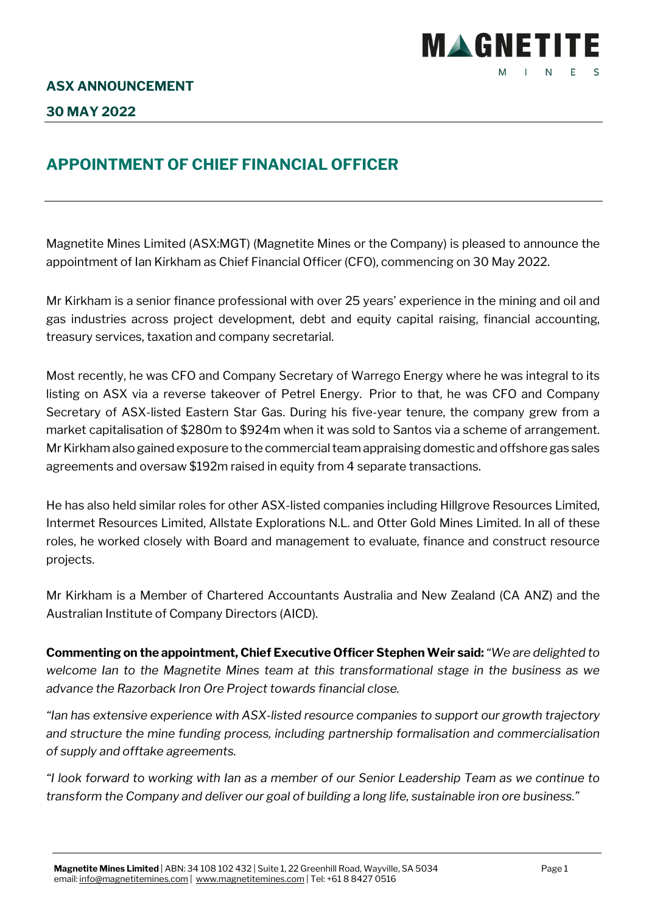

## **APPOINTMENT OF CHIEF FINANCIAL OFFICER**

Magnetite Mines Limited (ASX:MGT) (Magnetite Mines or the Company) is pleased to announce the appointment of Ian Kirkham as Chief Financial Officer (CFO), commencing on 30 May 2022.

Mr Kirkham is a senior finance professional with over 25 years' experience in the mining and oil and gas industries across project development, debt and equity capital raising, financial accounting, treasury services, taxation and company secretarial.

Most recently, he was CFO and Company Secretary of Warrego Energy where he was integral to its listing on ASX via a reverse takeover of Petrel Energy. Prior to that, he was CFO and Company Secretary of ASX-listed Eastern Star Gas. During his five-year tenure, the company grew from a market capitalisation of \$280m to \$924m when it was sold to Santos via a scheme of arrangement. Mr Kirkham also gained exposure to the commercial team appraising domestic and offshore gas sales agreements and oversaw \$192m raised in equity from 4 separate transactions.

He has also held similar roles for other ASX-listed companies including Hillgrove Resources Limited, Intermet Resources Limited, Allstate Explorations N.L. and Otter Gold Mines Limited. In all of these roles, he worked closely with Board and management to evaluate, finance and construct resource projects.

Mr Kirkham is a Member of Chartered Accountants Australia and New Zealand (CA ANZ) and the Australian Institute of Company Directors (AICD).

**Commenting on the appointment, Chief Executive Officer Stephen Weir said:** *"We are delighted to welcome Ian to the Magnetite Mines team at this transformational stage in the business as we advance the Razorback Iron Ore Project towards financial close.*

*"Ian has extensive experience with ASX-listed resource companies to support our growth trajectory and structure the mine funding process, including partnership formalisation and commercialisation of supply and offtake agreements.*

*"I look forward to working with Ian as a member of our Senior Leadership Team as we continue to transform the Company and deliver our goal of building a long life, sustainable iron ore business."*